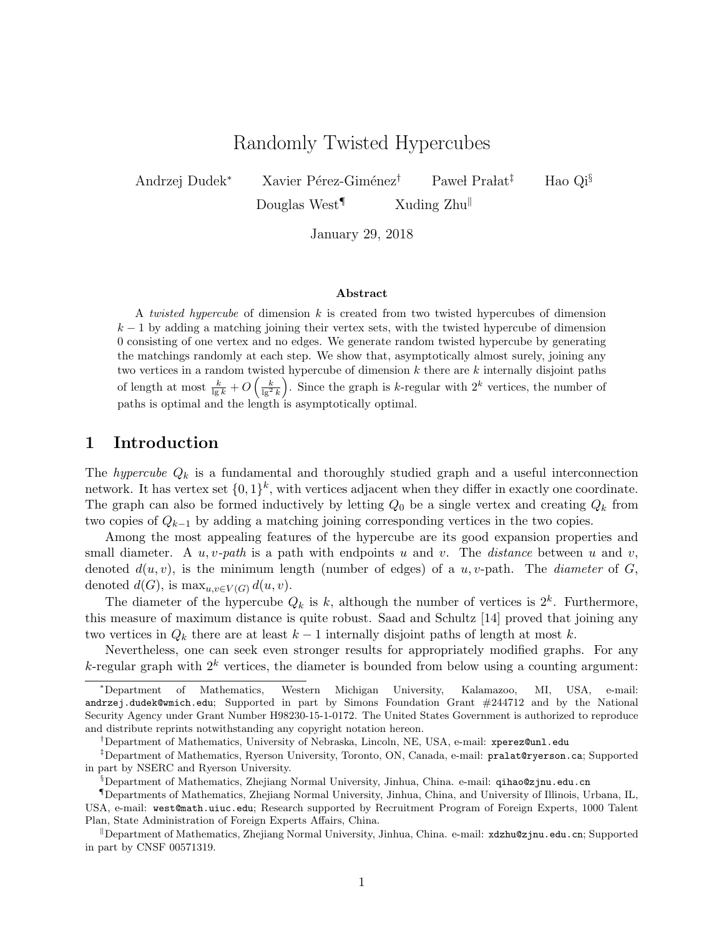# Randomly Twisted Hypercubes

Andrzej Dudek<sup>∗</sup> Xavier Pérez-Giménez<sup>†</sup> Paweł Prałat<sup>‡</sup> Hao Qi<sup>§</sup>

Douglas West<sup>¶</sup> Xuding Zhu

January 29, 2018

#### Abstract

A twisted hypercube of dimension k is created from two twisted hypercubes of dimension  $k-1$  by adding a matching joining their vertex sets, with the twisted hypercube of dimension 0 consisting of one vertex and no edges. We generate random twisted hypercube by generating the matchings randomly at each step. We show that, asymptotically almost surely, joining any two vertices in a random twisted hypercube of dimension  $k$  there are  $k$  internally disjoint paths of length at most  $\frac{k}{\lg k} + O\left(\frac{k}{\lg^2 k}\right)$ . Since the graph is k-regular with  $2^k$  vertices, the number of paths is optimal and the length is asymptotically optimal.

### 1 Introduction

The *hypercube*  $Q_k$  is a fundamental and thoroughly studied graph and a useful interconnection network. It has vertex set  $\{0,1\}^k$ , with vertices adjacent when they differ in exactly one coordinate. The graph can also be formed inductively by letting  $Q_0$  be a single vertex and creating  $Q_k$  from two copies of  $Q_{k-1}$  by adding a matching joining corresponding vertices in the two copies.

Among the most appealing features of the hypercube are its good expansion properties and small diameter. A  $u, v$ -path is a path with endpoints u and v. The distance between u and v, denoted  $d(u, v)$ , is the minimum length (number of edges) of a u, v-path. The *diameter* of G, denoted  $d(G)$ , is  $\max_{u,v \in V(G)} d(u,v)$ .

The diameter of the hypercube  $Q_k$  is k, although the number of vertices is  $2^k$ . Furthermore, this measure of maximum distance is quite robust. Saad and Schultz [14] proved that joining any two vertices in  $Q_k$  there are at least  $k-1$  internally disjoint paths of length at most k.

Nevertheless, one can seek even stronger results for appropriately modified graphs. For any k-regular graph with  $2^k$  vertices, the diameter is bounded from below using a counting argument:

<sup>∗</sup>Department of Mathematics, Western Michigan University, Kalamazoo, MI, USA, e-mail: andrzej.dudek@wmich.edu; Supported in part by Simons Foundation Grant #244712 and by the National Security Agency under Grant Number H98230-15-1-0172. The United States Government is authorized to reproduce and distribute reprints notwithstanding any copyright notation hereon.

<sup>†</sup>Department of Mathematics, University of Nebraska, Lincoln, NE, USA, e-mail: xperez@unl.edu

<sup>‡</sup>Department of Mathematics, Ryerson University, Toronto, ON, Canada, e-mail: pralat@ryerson.ca; Supported in part by NSERC and Ryerson University.

<sup>§</sup>Department of Mathematics, Zhejiang Normal University, Jinhua, China. e-mail: qihao@zjnu.edu.cn

<sup>¶</sup>Departments of Mathematics, Zhejiang Normal University, Jinhua, China, and University of Illinois, Urbana, IL, USA, e-mail: west@math.uiuc.edu; Research supported by Recruitment Program of Foreign Experts, 1000 Talent Plan, State Administration of Foreign Experts Affairs, China.

Department of Mathematics, Zhejiang Normal University, Jinhua, China. e-mail:  $\alpha$ dzhu@zjnu.edu.cn; Supported in part by CNSF 00571319.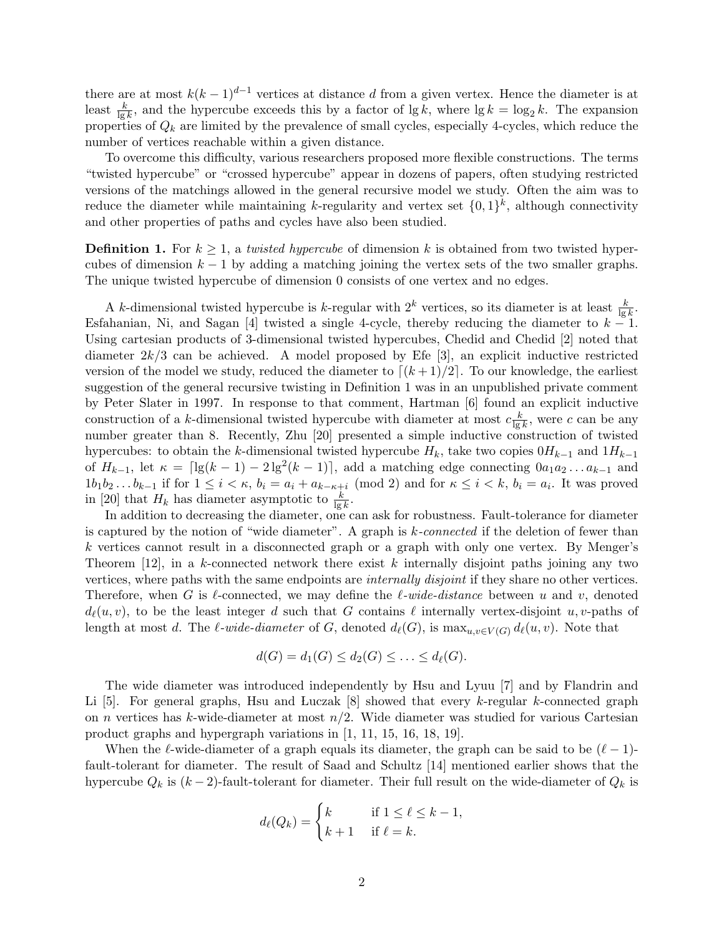there are at most  $k(k-1)^{d-1}$  vertices at distance d from a given vertex. Hence the diameter is at least  $\frac{k}{\lg k}$ , and the hypercube exceeds this by a factor of  $\lg k$ , where  $\lg k = \log_2 k$ . The expansion properties of  $Q_k$  are limited by the prevalence of small cycles, especially 4-cycles, which reduce the number of vertices reachable within a given distance.

To overcome this difficulty, various researchers proposed more flexible constructions. The terms "twisted hypercube" or "crossed hypercube" appear in dozens of papers, often studying restricted versions of the matchings allowed in the general recursive model we study. Often the aim was to reduce the diameter while maintaining k-regularity and vertex set  $\{0,1\}^k$ , although connectivity and other properties of paths and cycles have also been studied.

**Definition 1.** For  $k > 1$ , a twisted hypercube of dimension k is obtained from two twisted hypercubes of dimension  $k-1$  by adding a matching joining the vertex sets of the two smaller graphs. The unique twisted hypercube of dimension 0 consists of one vertex and no edges.

A k-dimensional twisted hypercube is k-regular with  $2^k$  vertices, so its diameter is at least  $\frac{k}{\lg k}$ . Esfahanian, Ni, and Sagan [4] twisted a single 4-cycle, thereby reducing the diameter to  $k - 1$ . Using cartesian products of 3-dimensional twisted hypercubes, Chedid and Chedid [2] noted that diameter  $2k/3$  can be achieved. A model proposed by Efe [3], an explicit inductive restricted version of the model we study, reduced the diameter to  $[(k+1)/2]$ . To our knowledge, the earliest suggestion of the general recursive twisting in Definition 1 was in an unpublished private comment by Peter Slater in 1997. In response to that comment, Hartman [6] found an explicit inductive construction of a k-dimensional twisted hypercube with diameter at most  $c_{\frac{k}{\ln n}}$  $\frac{k}{\lg k}$ , were c can be any number greater than 8. Recently, Zhu [20] presented a simple inductive construction of twisted hypercubes: to obtain the k-dimensional twisted hypercube  $H_k$ , take two copies  $0H_{k-1}$  and  $1H_{k-1}$ of  $H_{k-1}$ , let  $\kappa = \lceil \lg(k-1) - 2\lg^2(k-1) \rceil$ , add a matching edge connecting  $0a_1a_2 \ldots a_{k-1}$  and  $1b_1b_2...b_{k-1}$  if for  $1 \leq i < \kappa$ ,  $b_i = a_i + a_{k-\kappa+i} \pmod{2}$  and for  $\kappa \leq i < k$ ,  $b_i = a_i$ . It was proved in [20] that  $H_k$  has diameter asymptotic to  $\frac{k}{\lg k}$ .

In addition to decreasing the diameter, one can ask for robustness. Fault-tolerance for diameter is captured by the notion of "wide diameter". A graph is k-connected if the deletion of fewer than k vertices cannot result in a disconnected graph or a graph with only one vertex. By Menger's Theorem  $[12]$ , in a k-connected network there exist k internally disjoint paths joining any two vertices, where paths with the same endpoints are *internally disjoint* if they share no other vertices. Therefore, when G is  $\ell$ -connected, we may define the  $\ell$ -wide-distance between u and v, denoted  $d_{\ell}(u, v)$ , to be the least integer d such that G contains  $\ell$  internally vertex-disjoint u, v-paths of length at most d. The  $\ell$ -wide-diameter of G, denoted  $d_{\ell}(G)$ , is  $\max_{u,v \in V(G)} d_{\ell}(u, v)$ . Note that

$$
d(G) = d_1(G) \leq d_2(G) \leq \ldots \leq d_\ell(G).
$$

The wide diameter was introduced independently by Hsu and Lyuu [7] and by Flandrin and Li [5]. For general graphs, Hsu and Luczak  $[8]$  showed that every k-regular k-connected graph on n vertices has k-wide-diameter at most  $n/2$ . Wide diameter was studied for various Cartesian product graphs and hypergraph variations in [1, 11, 15, 16, 18, 19].

When the  $\ell$ -wide-diameter of a graph equals its diameter, the graph can be said to be  $(\ell - 1)$ fault-tolerant for diameter. The result of Saad and Schultz [14] mentioned earlier shows that the hypercube  $Q_k$  is  $(k-2)$ -fault-tolerant for diameter. Their full result on the wide-diameter of  $Q_k$  is

$$
d_{\ell}(Q_k) = \begin{cases} k & \text{if } 1 \leq \ell \leq k - 1, \\ k + 1 & \text{if } \ell = k. \end{cases}
$$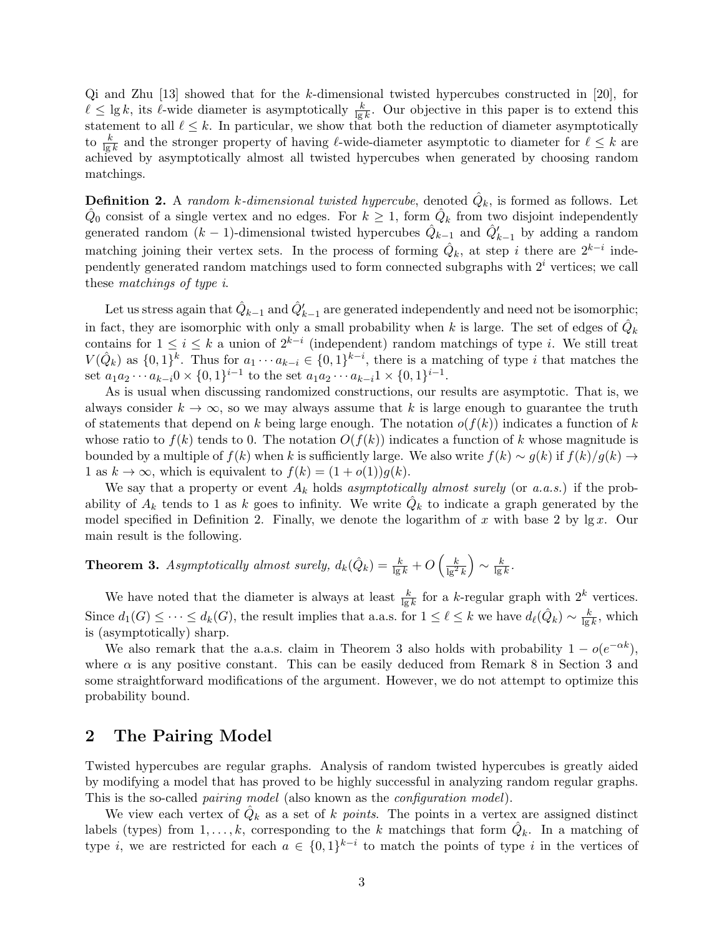Qi and Zhu [13] showed that for the k-dimensional twisted hypercubes constructed in [20], for  $\ell \le \lg k$ , its  $\ell$ -wide diameter is asymptotically  $\frac{k}{\lg k}$ . Our objective in this paper is to extend this statement to all  $\ell \leq k$ . In particular, we show that both the reduction of diameter asymptotically to  $\frac{k}{\lg k}$  and the stronger property of having  $\ell$ -wide-diameter asymptotic to diameter for  $\ell \leq k$  are achieved by asymptotically almost all twisted hypercubes when generated by choosing random matchings.

**Definition 2.** A random k-dimensional twisted hypercube, denoted  $\hat{Q}_k$ , is formed as follows. Let  $\hat{Q}_0$  consist of a single vertex and no edges. For  $k \geq 1$ , form  $\hat{Q}_k$  from two disjoint independently generated random  $(k-1)$ -dimensional twisted hypercubes  $\hat{Q}_{k-1}$  and  $\hat{Q}'_{k-1}$  by adding a random matching joining their vertex sets. In the process of forming  $\hat{Q}_k$ , at step i there are  $2^{k-i}$  independently generated random matchings used to form connected subgraphs with  $2<sup>i</sup>$  vertices; we call these matchings of type i.

Let us stress again that  $\hat{Q}_{k-1}$  and  $\hat{Q}'_{k-1}$  are generated independently and need not be isomorphic; in fact, they are isomorphic with only a small probability when k is large. The set of edges of  $\hat{Q}_k$ contains for  $1 \leq i \leq k$  a union of  $2^{k-i}$  (independent) random matchings of type *i*. We still treat  $V(\hat{Q}_k)$  as  $\{0,1\}^k$ . Thus for  $a_1 \cdots a_{k-i} \in \{0,1\}^{k-i}$ , there is a matching of type i that matches the set  $a_1 a_2 \cdots a_{k-i} 0 \times \{0,1\}^{i-1}$  to the set  $a_1 a_2 \cdots a_{k-i} 1 \times \{0,1\}^{i-1}$ .

As is usual when discussing randomized constructions, our results are asymptotic. That is, we always consider  $k \to \infty$ , so we may always assume that k is large enough to guarantee the truth of statements that depend on k being large enough. The notation  $o(f(k))$  indicates a function of k whose ratio to  $f(k)$  tends to 0. The notation  $O(f(k))$  indicates a function of k whose magnitude is bounded by a multiple of  $f(k)$  when k is sufficiently large. We also write  $f(k) \sim g(k)$  if  $f(k)/g(k) \to$ 1 as  $k \to \infty$ , which is equivalent to  $f(k) = (1 + o(1))g(k)$ .

We say that a property or event  $A_k$  holds asymptotically almost surely (or a.a.s.) if the probability of  $A_k$  tends to 1 as k goes to infinity. We write  $\hat{Q}_k$  to indicate a graph generated by the model specified in Definition 2. Finally, we denote the logarithm of x with base 2 by  $\lg x$ . Our main result is the following.

#### **Theorem 3.** Asymptotically almost surely,  $d_k(\hat{Q}_k) = \frac{k}{\lg k} + O\left(\frac{k}{\lg^2 k}\right)$  $\Big) \sim \frac{k}{\ln r}$  $\frac{k}{\lg k}$  .

We have noted that the diameter is always at least  $\frac{k}{\lg k}$  for a k-regular graph with  $2^k$  vertices. Since  $d_1(G) \leq \cdots \leq d_k(G)$ , the result implies that a.a.s. for  $1 \leq \ell \leq k$  we have  $d_{\ell}(\hat{Q}_k) \sim \frac{k}{\log k}$  $\frac{k}{\lg k}$ , which is (asymptotically) sharp.

We also remark that the a.a.s. claim in Theorem 3 also holds with probability  $1 - o(e^{-\alpha k})$ , where  $\alpha$  is any positive constant. This can be easily deduced from Remark 8 in Section 3 and some straightforward modifications of the argument. However, we do not attempt to optimize this probability bound.

### 2 The Pairing Model

Twisted hypercubes are regular graphs. Analysis of random twisted hypercubes is greatly aided by modifying a model that has proved to be highly successful in analyzing random regular graphs. This is the so-called pairing model (also known as the configuration model).

We view each vertex of  $\hat{Q}_k$  as a set of k points. The points in a vertex are assigned distinct labels (types) from  $1, \ldots, k$ , corresponding to the k matchings that form  $\hat{Q}_k$ . In a matching of type *i*, we are restricted for each  $a \in \{0,1\}^{k-i}$  to match the points of type *i* in the vertices of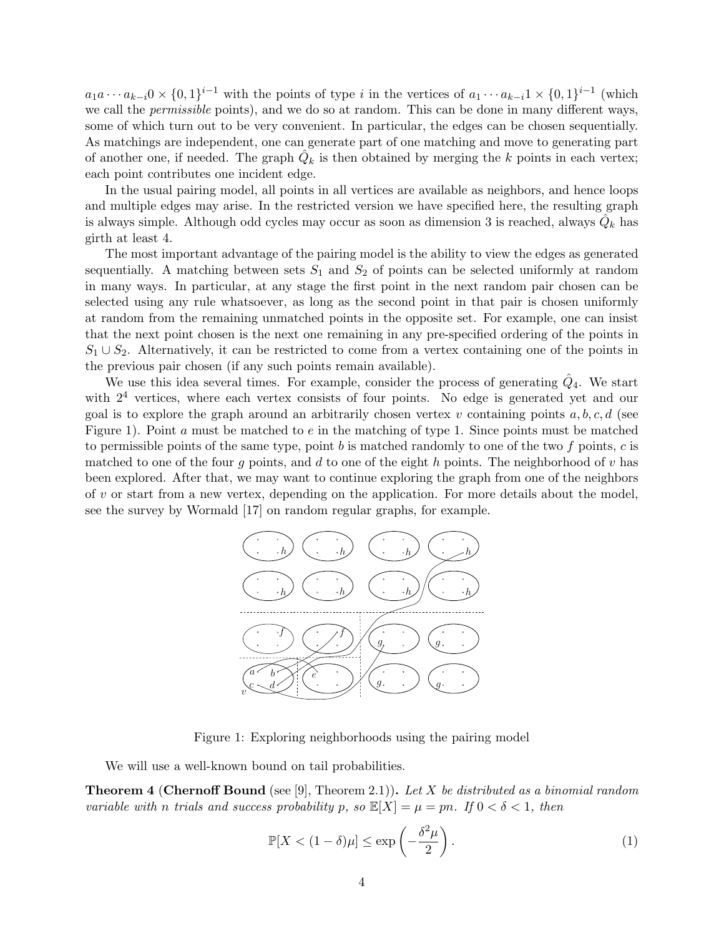$a_1a\cdots a_{k-i}0\times\{0,1\}^{i-1}$  with the points of type i in the vertices of  $a_1\cdots a_{k-i}1\times\{0,1\}^{i-1}$  (which we call the *permissible* points), and we do so at random. This can be done in many different ways, some of which turn out to be very convenient. In particular, the edges can be chosen sequentially. As matchings are independent, one can generate part of one matching and move to generating part of another one, if needed. The graph  $\hat{Q}_k$  is then obtained by merging the k points in each vertex; each point contributes one incident edge.

In the usual pairing model, all points in all vertices are available as neighbors, and hence loops and multiple edges may arise. In the restricted version we have specified here, the resulting graph is always simple. Although odd cycles may occur as soon as dimension 3 is reached, always  $\hat{Q}_k$  has girth at least 4.

The most important advantage of the pairing model is the ability to view the edges as generated sequentially. A matching between sets  $S_1$  and  $S_2$  of points can be selected uniformly at random in many ways. In particular, at any stage the first point in the next random pair chosen can be selected using any rule whatsoever, as long as the second point in that pair is chosen uniformly at random from the remaining unmatched points in the opposite set. For example, one can insist that the next point chosen is the next one remaining in any pre-specified ordering of the points in  $S_1 \cup S_2$ . Alternatively, it can be restricted to come from a vertex containing one of the points in the previous pair chosen (if any such points remain available).

We use this idea several times. For example, consider the process of generating  $\hat{Q}_4$ . We start with  $2<sup>4</sup>$  vertices, where each vertex consists of four points. No edge is generated yet and our goal is to explore the graph around an arbitrarily chosen vertex v containing points  $a, b, c, d$  (see Figure 1). Point a must be matched to  $e$  in the matching of type 1. Since points must be matched to permissible points of the same type, point b is matched randomly to one of the two f points, c is matched to one of the four q points, and d to one of the eight h points. The neighborhood of v has been explored. After that, we may want to continue exploring the graph from one of the neighbors of  $v$  or start from a new vertex, depending on the application. For more details about the model, see the survey by Wormald [17] on random regular graphs, for example.



Figure 1: Exploring neighborhoods using the pairing model

We will use a well-known bound on tail probabilities.

**Theorem 4 (Chernoff Bound** (see [9], Theorem 2.1)). Let X be distributed as a binomial random variable with n trials and success probability p, so  $\mathbb{E}[X] = \mu = pn$ . If  $0 < \delta < 1$ , then

$$
\mathbb{P}[X < (1 - \delta)\mu] \le \exp\left(-\frac{\delta^2 \mu}{2}\right). \tag{1}
$$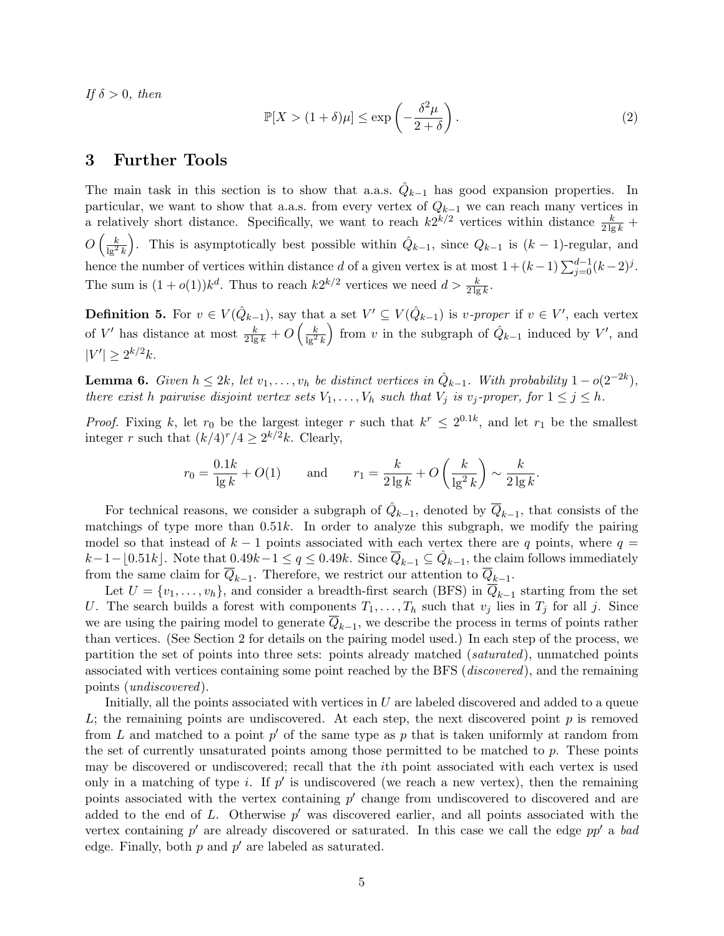If  $\delta > 0$ , then

$$
\mathbb{P}[X > (1+\delta)\mu] \le \exp\left(-\frac{\delta^2 \mu}{2+\delta}\right). \tag{2}
$$

#### 3 Further Tools

The main task in this section is to show that a.a.s.  $\hat{Q}_{k-1}$  has good expansion properties. In particular, we want to show that a.a.s. from every vertex of  $Q_{k-1}$  we can reach many vertices in a relatively short distance. Specifically, we want to reach  $k2^{k/2}$  vertices within distance  $\frac{k}{2\lg k}$  +  $O\left(\frac{k}{\lg^2 k}\right)$ ). This is asymptotically best possible within  $\hat{Q}_{k-1}$ , since  $Q_{k-1}$  is  $(k-1)$ -regular, and hence the number of vertices within distance d of a given vertex is at most  $1 + (k-1)\sum_{j=0}^{d-1}(k-2)^j$ . The sum is  $(1+o(1))k^d$ . Thus to reach  $k2^{k/2}$  vertices we need  $d > \frac{k}{2\lg k}$ .

**Definition 5.** For  $v \in V(\hat{Q}_{k-1})$ , say that a set  $V' \subseteq V(\hat{Q}_{k-1})$  is *v-proper* if  $v \in V'$ , each vertex of V' has distance at most  $\frac{k}{2 \lg k} + O\left(\frac{k}{\lg^2 k}\right)$ from v in the subgraph of  $\hat{Q}_{k-1}$  induced by V', and  $|V'| \geq 2^{k/2}k$ .

**Lemma 6.** Given  $h \leq 2k$ , let  $v_1, \ldots, v_h$  be distinct vertices in  $\hat{Q}_{k-1}$ . With probability  $1 - o(2^{-2k})$ , there exist h pairwise disjoint vertex sets  $V_1, \ldots, V_h$  such that  $V_j$  is  $v_j$ -proper, for  $1 \leq j \leq h$ .

*Proof.* Fixing k, let  $r_0$  be the largest integer r such that  $k^r \leq 2^{0.1k}$ , and let  $r_1$  be the smallest integer r such that  $(k/4)^r/4 \geq 2^{k/2}k$ . Clearly,

$$
r_0 = \frac{0.1k}{\lg k} + O(1) \quad \text{and} \quad r_1 = \frac{k}{2\lg k} + O\left(\frac{k}{\lg^2 k}\right) \sim \frac{k}{2\lg k}.
$$

For technical reasons, we consider a subgraph of  $\hat{Q}_{k-1}$ , denoted by  $\overline{Q}_{k-1}$ , that consists of the matchings of type more than  $0.51k$ . In order to analyze this subgraph, we modify the pairing model so that instead of  $k-1$  points associated with each vertex there are q points, where  $q =$  $k-1-\lfloor 0.51k \rfloor$ . Note that  $0.49k-1 \le q \le 0.49k$ . Since  $\overline{Q}_{k-1} \subseteq \hat{Q}_{k-1}$ , the claim follows immediately from the same claim for  $Q_{k-1}$ . Therefore, we restrict our attention to  $Q_{k-1}$ .

Let  $U = \{v_1, \ldots, v_h\}$ , and consider a breadth-first search (BFS) in  $\overline{Q}_{k-1}$  starting from the set U. The search builds a forest with components  $T_1, \ldots, T_h$  such that  $v_j$  lies in  $T_j$  for all j. Since we are using the pairing model to generate  $Q_{k-1}$ , we describe the process in terms of points rather than vertices. (See Section 2 for details on the pairing model used.) In each step of the process, we partition the set of points into three sets: points already matched (saturated), unmatched points associated with vertices containing some point reached by the BFS (discovered), and the remaining points (undiscovered).

Initially, all the points associated with vertices in  $U$  are labeled discovered and added to a queue L; the remaining points are undiscovered. At each step, the next discovered point  $p$  is removed from L and matched to a point  $p'$  of the same type as p that is taken uniformly at random from the set of currently unsaturated points among those permitted to be matched to p. These points may be discovered or undiscovered; recall that the ith point associated with each vertex is used only in a matching of type *i*. If  $p'$  is undiscovered (we reach a new vertex), then the remaining points associated with the vertex containing  $p'$  change from undiscovered to discovered and are added to the end of L. Otherwise  $p'$  was discovered earlier, and all points associated with the vertex containing  $p'$  are already discovered or saturated. In this case we call the edge  $pp'$  a bad edge. Finally, both  $p$  and  $p'$  are labeled as saturated.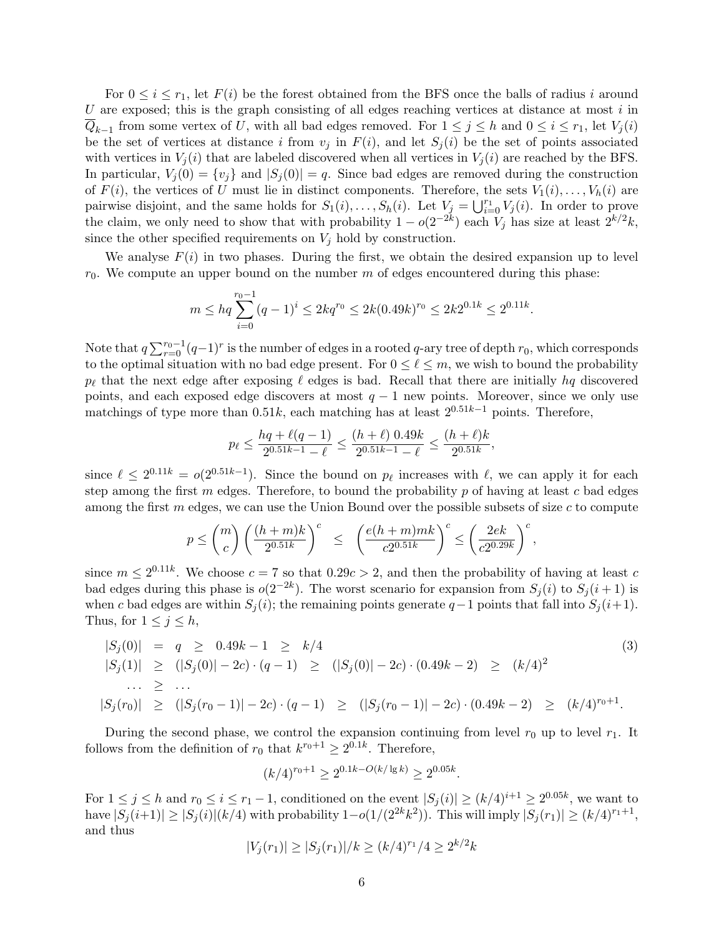For  $0 \leq i \leq r_1$ , let  $F(i)$  be the forest obtained from the BFS once the balls of radius i around U are exposed; this is the graph consisting of all edges reaching vertices at distance at most  $i$  in  $Q_{k-1}$  from some vertex of U, with all bad edges removed. For  $1 \leq j \leq h$  and  $0 \leq i \leq r_1$ , let  $V_j(i)$ be the set of vertices at distance i from  $v_j$  in  $F(i)$ , and let  $S_j(i)$  be the set of points associated with vertices in  $V_i(i)$  that are labeled discovered when all vertices in  $V_i(i)$  are reached by the BFS. In particular,  $V_i(0) = \{v_i\}$  and  $|S_i(0)| = q$ . Since bad edges are removed during the construction of  $F(i)$ , the vertices of U must lie in distinct components. Therefore, the sets  $V_1(i), \ldots, V_h(i)$  are pairwise disjoint, and the same holds for  $S_1(i), \ldots, S_h(i)$ . Let  $V_j = \bigcup_{i=0}^{r_1} V_j(i)$ . In order to prove the claim, we only need to show that with probability  $1 - o(2^{-2k})$  each  $V_j$  has size at least  $2^{k/2}k$ , since the other specified requirements on  $V_i$  hold by construction.

We analyse  $F(i)$  in two phases. During the first, we obtain the desired expansion up to level  $r_0$ . We compute an upper bound on the number m of edges encountered during this phase:

$$
m \le hq \sum_{i=0}^{r_0 - 1} (q - 1)^i \le 2kq^{r_0} \le 2k(0.49k)^{r_0} \le 2k2^{0.1k} \le 2^{0.11k}.
$$

Note that  $q \sum_{r=0}^{r_0-1} (q-1)^r$  is the number of edges in a rooted q-ary tree of depth  $r_0$ , which corresponds to the optimal situation with no bad edge present. For  $0 \leq \ell \leq m$ , we wish to bound the probability  $p_\ell$  that the next edge after exposing  $\ell$  edges is bad. Recall that there are initially hq discovered points, and each exposed edge discovers at most  $q - 1$  new points. Moreover, since we only use matchings of type more than 0.51k, each matching has at least  $2^{0.51k-1}$  points. Therefore,

$$
p_{\ell} \le \frac{hq + \ell(q-1)}{2^{0.51k - 1} - \ell} \le \frac{(h+\ell) \ 0.49k}{2^{0.51k - 1} - \ell} \le \frac{(h+\ell)k}{2^{0.51k}},
$$

since  $\ell \leq 2^{0.11k} = o(2^{0.51k-1})$ . Since the bound on  $p_\ell$  increases with  $\ell$ , we can apply it for each step among the first  $m$  edges. Therefore, to bound the probability  $p$  of having at least  $c$  bad edges among the first  $m$  edges, we can use the Union Bound over the possible subsets of size  $c$  to compute

$$
p \leq \binom{m}{c} \left(\frac{(h+m)k}{2^{0.51k}}\right)^c \leq \left(\frac{e(h+m)mk}{c2^{0.51k}}\right)^c \leq \left(\frac{2ek}{c2^{0.29k}}\right)^c,
$$

since  $m \leq 2^{0.11k}$ . We choose  $c = 7$  so that  $0.29c > 2$ , and then the probability of having at least c bad edges during this phase is  $o(2^{-2k})$ . The worst scenario for expansion from  $S_j(i)$  to  $S_j(i+1)$  is when c bad edges are within  $S_i(i)$ ; the remaining points generate  $q-1$  points that fall into  $S_i(i+1)$ . Thus, for  $1 \leq j \leq h$ ,

$$
|S_j(0)| = q \ge 0.49k - 1 \ge k/4
$$
  
\n
$$
|S_j(1)| \ge (|S_j(0)| - 2c) \cdot (q - 1) \ge (|S_j(0)| - 2c) \cdot (0.49k - 2) \ge (k/4)^2
$$
  
\n
$$
\dots \ge \dots
$$
  
\n
$$
|S_j(r_0)| \ge (|S_j(r_0 - 1)| - 2c) \cdot (q - 1) \ge (|S_j(r_0 - 1)| - 2c) \cdot (0.49k - 2) \ge (k/4)^{r_0 + 1}.
$$
  
\n(3)

During the second phase, we control the expansion continuing from level  $r_0$  up to level  $r_1$ . It follows from the definition of  $r_0$  that  $k^{r_0+1} \geq 2^{0.1k}$ . Therefore,

$$
(k/4)^{r_0+1} \ge 2^{0.1k - O(k/\lg k)} \ge 2^{0.05k}
$$

.

For  $1 \leq j \leq h$  and  $r_0 \leq i \leq r_1 - 1$ , conditioned on the event  $|S_j(i)| \geq (k/4)^{i+1} \geq 2^{0.05k}$ , we want to have  $|S_j(i+1)| \geq |S_j(i)| (k/4)$  with probability  $1-o(1/(2^{2k}k^2))$ . This will imply  $|S_j(r_1)| \geq (k/4)^{r_1+1}$ , and thus

$$
|V_j(r_1)| \ge |S_j(r_1)|/k \ge (k/4)^{r_1}/4 \ge 2^{k/2}k
$$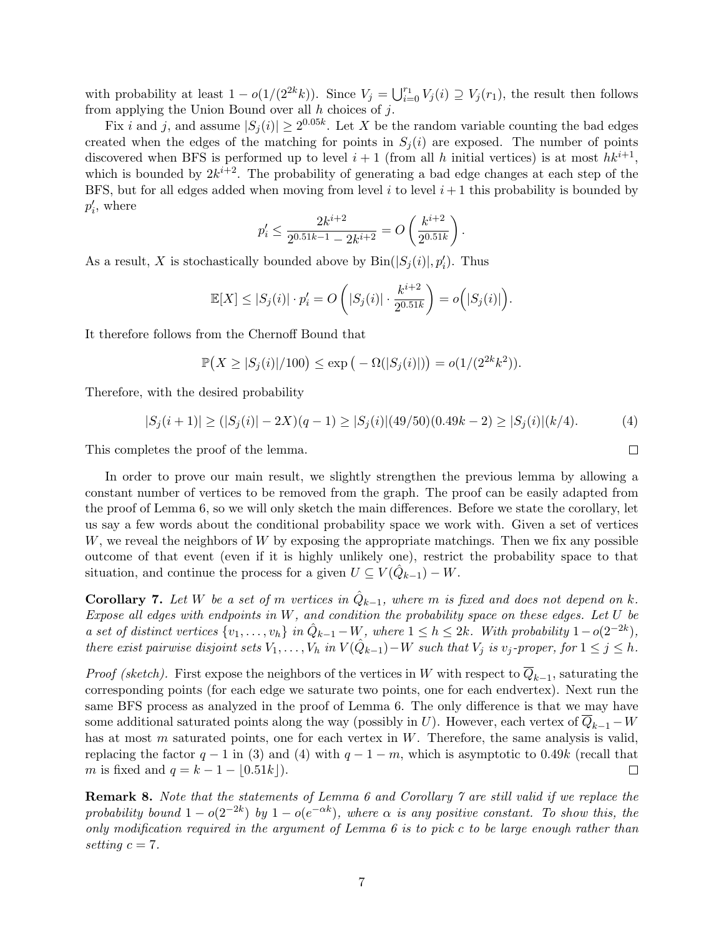with probability at least  $1 - o(1/(2^{2k}k))$ . Since  $V_j = \bigcup_{i=0}^{r_1} V_j(i) \supseteq V_j(r_1)$ , the result then follows from applying the Union Bound over all  $h$  choices of  $j$ .

Fix i and j, and assume  $|S_j(i)| \ge 2^{0.05k}$ . Let X be the random variable counting the bad edges created when the edges of the matching for points in  $S_i(i)$  are exposed. The number of points discovered when BFS is performed up to level  $i+1$  (from all h initial vertices) is at most  $hk^{i+1}$ , which is bounded by  $2k^{i+2}$ . The probability of generating a bad edge changes at each step of the BFS, but for all edges added when moving from level  $i$  to level  $i + 1$  this probability is bounded by  $p'_i$ , where

$$
p'_{i} \le \frac{2k^{i+2}}{2^{0.51k-1} - 2k^{i+2}} = O\left(\frac{k^{i+2}}{2^{0.51k}}\right).
$$

As a result, X is stochastically bounded above by  $\text{Bin}(|S_j(i)|, p'_i)$ . Thus

$$
\mathbb{E}[X] \leq |S_j(i)| \cdot p_i' = O\left(|S_j(i)| \cdot \frac{k^{i+2}}{2^{0.51k}}\right) = o\left(|S_j(i)|\right).
$$

It therefore follows from the Chernoff Bound that

$$
\mathbb{P}(X \geq |S_j(i)|/100) \leq \exp(-\Omega(|S_j(i)|)) = o(1/(2^{2k}k^2)).
$$

Therefore, with the desired probability

$$
|S_j(i+1)| \ge (|S_j(i)| - 2X)(q-1) \ge |S_j(i)| \cdot (49/50)(0.49k - 2) \ge |S_j(i)| \cdot (k/4). \tag{4}
$$

 $\Box$ 

This completes the proof of the lemma.

In order to prove our main result, we slightly strengthen the previous lemma by allowing a constant number of vertices to be removed from the graph. The proof can be easily adapted from the proof of Lemma 6, so we will only sketch the main differences. Before we state the corollary, let us say a few words about the conditional probability space we work with. Given a set of vertices W, we reveal the neighbors of W by exposing the appropriate matchings. Then we fix any possible outcome of that event (even if it is highly unlikely one), restrict the probability space to that situation, and continue the process for a given  $U \subseteq V(\hat{Q}_{k-1}) - W$ .

**Corollary 7.** Let W be a set of m vertices in  $\hat{Q}_{k-1}$ , where m is fixed and does not depend on k. Expose all edges with endpoints in  $W$ , and condition the probability space on these edges. Let  $U$  be a set of distinct vertices  $\{v_1, \ldots, v_h\}$  in  $\hat{Q}_{k-1} - W$ , where  $1 \leq h \leq 2k$ . With probability  $1 - o(2^{-2k})$ , there exist pairwise disjoint sets  $V_1, \ldots, V_h$  in  $V(\hat{Q}_{k-1}) - W$  such that  $V_j$  is  $v_j$ -proper, for  $1 \leq j \leq h$ .

*Proof (sketch)*. First expose the neighbors of the vertices in W with respect to  $Q_{k-1}$ , saturating the corresponding points (for each edge we saturate two points, one for each endvertex). Next run the same BFS process as analyzed in the proof of Lemma 6. The only difference is that we may have some additional saturated points along the way (possibly in U). However, each vertex of  $\overline{Q}_{k-1} - W$ has at most m saturated points, one for each vertex in  $W$ . Therefore, the same analysis is valid, replacing the factor  $q - 1$  in (3) and (4) with  $q - 1 - m$ , which is asymptotic to 0.49k (recall that m is fixed and  $q = k - 1 - |0.51k|$ .  $\Box$ 

Remark 8. Note that the statements of Lemma 6 and Corollary 7 are still valid if we replace the probability bound  $1 - o(2^{-2k})$  by  $1 - o(e^{-\alpha k})$ , where  $\alpha$  is any positive constant. To show this, the only modification required in the argument of Lemma  $6$  is to pick c to be large enough rather than setting  $c = 7$ .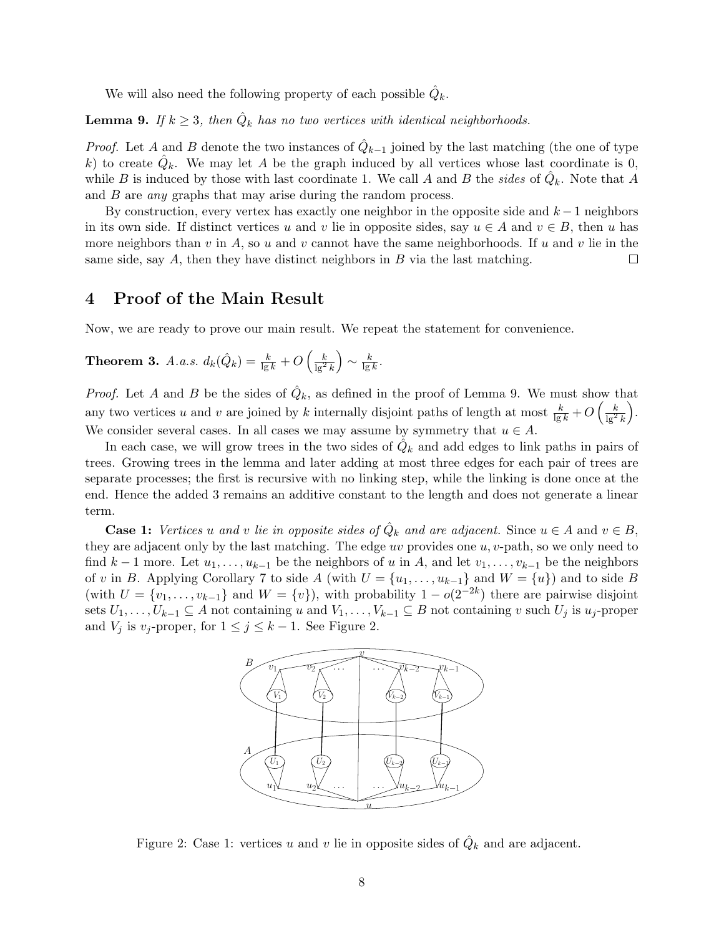We will also need the following property of each possible  $\hat{Q}_k$ .

**Lemma 9.** If  $k \geq 3$ , then  $\hat{Q}_k$  has no two vertices with identical neighborhoods.

*Proof.* Let A and B denote the two instances of  $\hat{Q}_{k-1}$  joined by the last matching (the one of type k) to create  $\hat{Q}_k$ . We may let A be the graph induced by all vertices whose last coordinate is 0, while B is induced by those with last coordinate 1. We call A and B the sides of  $\hat{Q}_k$ . Note that A and B are *any* graphs that may arise during the random process.

By construction, every vertex has exactly one neighbor in the opposite side and  $k-1$  neighbors in its own side. If distinct vertices u and v lie in opposite sides, say  $u \in A$  and  $v \in B$ , then u has more neighbors than v in A, so u and v cannot have the same neighborhoods. If u and v lie in the same side, say  $A$ , then they have distinct neighbors in  $B$  via the last matching.  $\Box$ 

### 4 Proof of the Main Result

Now, we are ready to prove our main result. We repeat the statement for convenience.

**Theorem 3.** A.a.s. 
$$
d_k(\hat{Q}_k) = \frac{k}{\lg k} + O\left(\frac{k}{\lg^2 k}\right) \sim \frac{k}{\lg k}
$$
.

*Proof.* Let A and B be the sides of  $\hat{Q}_k$ , as defined in the proof of Lemma 9. We must show that any two vertices u and v are joined by k internally disjoint paths of length at most  $\frac{k}{\lg k} + O\left(\frac{k}{\lg^2 k}\right)$  . We consider several cases. In all cases we may assume by symmetry that  $u \in A$ .

In each case, we will grow trees in the two sides of  $\hat{Q}_k$  and add edges to link paths in pairs of trees. Growing trees in the lemma and later adding at most three edges for each pair of trees are separate processes; the first is recursive with no linking step, while the linking is done once at the end. Hence the added 3 remains an additive constant to the length and does not generate a linear term.

**Case 1:** Vertices u and v lie in opposite sides of  $\hat{Q}_k$  and are adjacent. Since  $u \in A$  and  $v \in B$ , they are adjacent only by the last matching. The edge uv provides one  $u, v$ -path, so we only need to find  $k-1$  more. Let  $u_1, \ldots, u_{k-1}$  be the neighbors of u in A, and let  $v_1, \ldots, v_{k-1}$  be the neighbors of v in B. Applying Corollary 7 to side A (with  $U = \{u_1, \ldots, u_{k-1}\}\$  and  $W = \{u\}\$ ) and to side B (with  $U = \{v_1, \ldots, v_{k-1}\}\$ and  $W = \{v\}$ ), with probability  $1 - o(2^{-2k})$  there are pairwise disjoint sets  $U_1, \ldots, U_{k-1} \subseteq A$  not containing u and  $V_1, \ldots, V_{k-1} \subseteq B$  not containing v such  $U_j$  is  $u_j$ -proper and  $V_j$  is  $v_j$ -proper, for  $1 \leq j \leq k-1$ . See Figure 2.



Figure 2: Case 1: vertices u and v lie in opposite sides of  $\hat{Q}_k$  and are adjacent.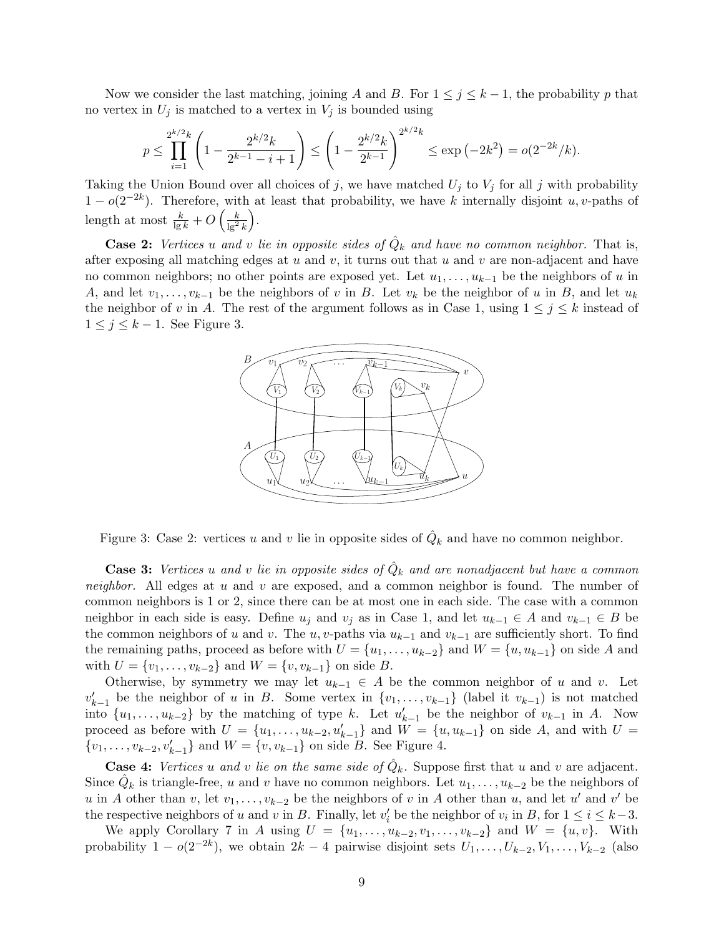Now we consider the last matching, joining A and B. For  $1 \leq j \leq k-1$ , the probability p that no vertex in  $U_j$  is matched to a vertex in  $V_j$  is bounded using

$$
p \le \prod_{i=1}^{2^{k/2}k} \left(1 - \frac{2^{k/2}k}{2^{k-1} - i + 1}\right) \le \left(1 - \frac{2^{k/2}k}{2^{k-1}}\right)^{2^{k/2}k} \le \exp\left(-2k^2\right) = o(2^{-2k}/k).
$$

Taking the Union Bound over all choices of j, we have matched  $U_j$  to  $V_j$  for all j with probability  $1-o(2^{-2k})$ . Therefore, with at least that probability, we have k internally disjoint u, v-paths of length at most  $\frac{k}{\lg k} + O\left(\frac{k}{\lg^2 k}\right)$ .

**Case 2:** Vertices u and v lie in opposite sides of  $\hat{Q}_k$  and have no common neighbor. That is, after exposing all matching edges at  $u$  and  $v$ , it turns out that  $u$  and  $v$  are non-adjacent and have no common neighbors; no other points are exposed yet. Let  $u_1, \ldots, u_{k-1}$  be the neighbors of u in A, and let  $v_1, \ldots, v_{k-1}$  be the neighbors of v in B. Let  $v_k$  be the neighbor of u in B, and let  $u_k$ the neighbor of v in A. The rest of the argument follows as in Case 1, using  $1 \leq j \leq k$  instead of  $1 \leq j \leq k-1$ . See Figure 3.



Figure 3: Case 2: vertices u and v lie in opposite sides of  $\hat{Q}_k$  and have no common neighbor.

**Case 3:** Vertices u and v lie in opposite sides of  $\hat{Q}_k$  and are nonadjacent but have a common neighbor. All edges at  $u$  and  $v$  are exposed, and a common neighbor is found. The number of common neighbors is 1 or 2, since there can be at most one in each side. The case with a common neighbor in each side is easy. Define  $u_j$  and  $v_j$  as in Case 1, and let  $u_{k-1} \in A$  and  $v_{k-1} \in B$  be the common neighbors of u and v. The u, v-paths via  $u_{k-1}$  and  $v_{k-1}$  are sufficiently short. To find the remaining paths, proceed as before with  $U = \{u_1, \ldots, u_{k-2}\}\$  and  $W = \{u, u_{k-1}\}\$  on side A and with  $U = \{v_1, \ldots, v_{k-2}\}\$  and  $W = \{v, v_{k-1}\}\$  on side B.

Otherwise, by symmetry we may let  $u_{k-1} \in A$  be the common neighbor of u and v. Let  $v'_{k-1}$  be the neighbor of u in B. Some vertex in  $\{v_1, \ldots, v_{k-1}\}$  (label it  $v_{k-1}$ ) is not matched into  $\{u_1, \ldots, u_{k-2}\}\$  by the matching of type k. Let  $u'_{k-1}$  be the neighbor of  $v_{k-1}$  in A. Now proceed as before with  $U = \{u_1, \ldots, u_{k-2}, u'_{k-1}\}\$  and  $\tilde{W} = \{u, u_{k-1}\}\$  on side A, and with  $U =$  $\{v_1, \ldots, v_{k-2}, v'_{k-1}\}\$ and  $W = \{v, v_{k-1}\}\$ on side B. See Figure 4.

**Case 4:** Vertices u and v lie on the same side of  $\hat{Q}_k$ . Suppose first that u and v are adjacent. Since  $\hat{Q}_k$  is triangle-free, u and v have no common neighbors. Let  $u_1, \ldots, u_{k-2}$  be the neighbors of u in A other than v, let  $v_1, \ldots, v_{k-2}$  be the neighbors of v in A other than u, and let u' and v' be the respective neighbors of u and v in B. Finally, let  $v'_i$  be the neighbor of  $v_i$  in B, for  $1 \le i \le k-3$ .

We apply Corollary 7 in A using  $U = \{u_1, \ldots, u_{k-2}, v_1, \ldots, v_{k-2}\}$  and  $W = \{u, v\}$ . With probability  $1 - o(2^{-2k})$ , we obtain  $2k - 4$  pairwise disjoint sets  $U_1, \ldots, U_{k-2}, V_1, \ldots, V_{k-2}$  (also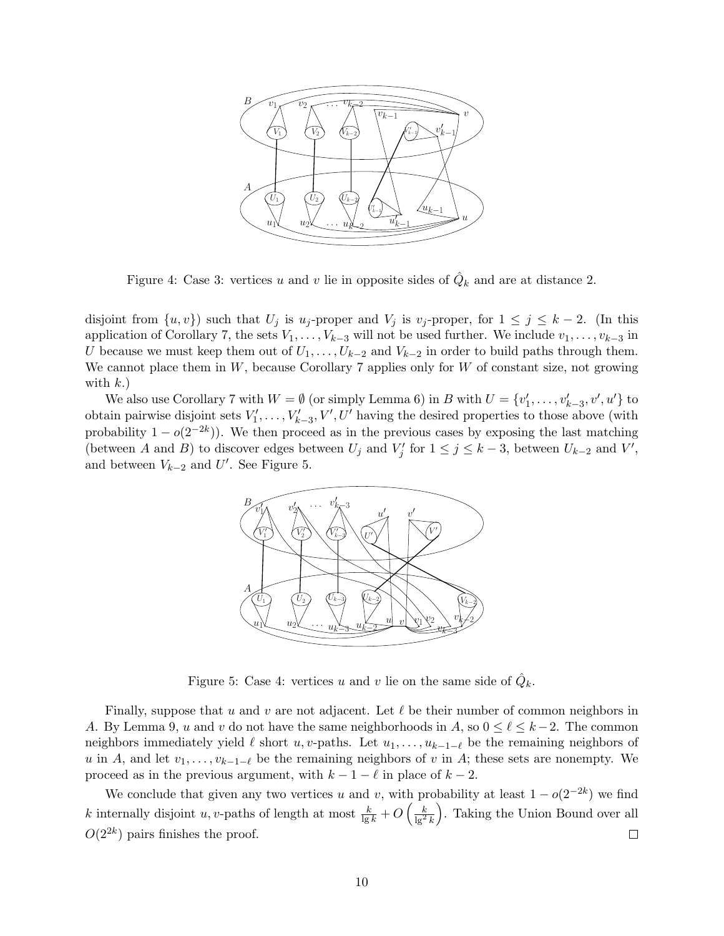

Figure 4: Case 3: vertices u and v lie in opposite sides of  $\hat{Q}_k$  and are at distance 2.

disjoint from  $\{u, v\}$  such that  $U_j$  is  $u_j$ -proper and  $V_j$  is  $v_j$ -proper, for  $1 \leq j \leq k-2$ . (In this application of Corollary 7, the sets  $V_1, \ldots, V_{k-3}$  will not be used further. We include  $v_1, \ldots, v_{k-3}$  in U because we must keep them out of  $U_1, \ldots, U_{k-2}$  and  $V_{k-2}$  in order to build paths through them. We cannot place them in  $W$ , because Corollary 7 applies only for  $W$  of constant size, not growing with  $k$ .)

We also use Corollary 7 with  $W = \emptyset$  (or simply Lemma 6) in B with  $U = \{v'_1, \ldots, v'_{k-3}, v', u'\}$  to obtain pairwise disjoint sets  $V'_1, \ldots, V'_{k-3}, V', U'$  having the desired properties to those above (with probability  $1 - o(2^{-2k})$ ). We then proceed as in the previous cases by exposing the last matching (between A and B) to discover edges between  $U_j$  and  $V'_j$  for  $1 \le j \le k-3$ , between  $U_{k-2}$  and  $V'$ , and between  $V_{k-2}$  and  $U'$ . See Figure 5.



Figure 5: Case 4: vertices u and v lie on the same side of  $\hat{Q}_k$ .

Finally, suppose that u and v are not adjacent. Let  $\ell$  be their number of common neighbors in A. By Lemma 9, u and v do not have the same neighborhoods in A, so  $0 \leq \ell \leq k-2$ . The common neighbors immediately yield  $\ell$  short u, v-paths. Let  $u_1, \ldots, u_{k-1-\ell}$  be the remaining neighbors of u in A, and let  $v_1, \ldots, v_{k-1-\ell}$  be the remaining neighbors of v in A; these sets are nonempty. We proceed as in the previous argument, with  $k - 1 - \ell$  in place of  $k - 2$ .

We conclude that given any two vertices u and v, with probability at least  $1-o(2^{-2k})$  we find k internally disjoint u, v-paths of length at most  $\frac{k}{\lg k} + O\left(\frac{k}{\lg^2 k}\right)$  . Taking the Union Bound over all  $O(2^{2k})$  pairs finishes the proof.  $\Box$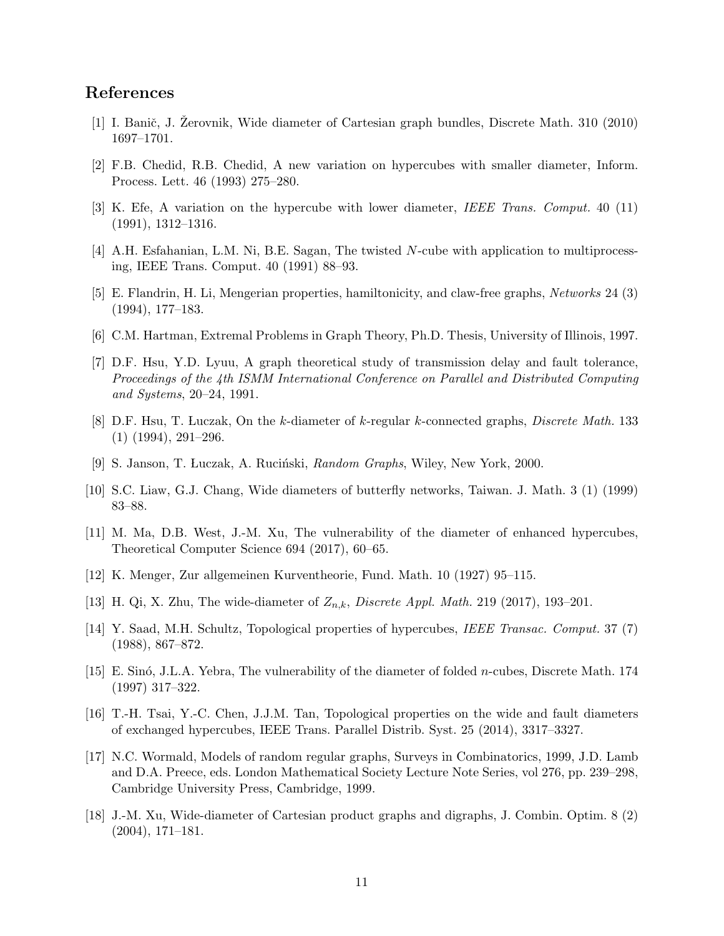## References

- [1] I. Banič, J. Žerovnik, Wide diameter of Cartesian graph bundles, Discrete Math. 310 (2010) 1697–1701.
- [2] F.B. Chedid, R.B. Chedid, A new variation on hypercubes with smaller diameter, Inform. Process. Lett. 46 (1993) 275–280.
- [3] K. Efe, A variation on the hypercube with lower diameter, IEEE Trans. Comput. 40 (11) (1991), 1312–1316.
- [4] A.H. Esfahanian, L.M. Ni, B.E. Sagan, The twisted N-cube with application to multiprocessing, IEEE Trans. Comput. 40 (1991) 88–93.
- [5] E. Flandrin, H. Li, Mengerian properties, hamiltonicity, and claw-free graphs, Networks 24 (3) (1994), 177–183.
- [6] C.M. Hartman, Extremal Problems in Graph Theory, Ph.D. Thesis, University of Illinois, 1997.
- [7] D.F. Hsu, Y.D. Lyuu, A graph theoretical study of transmission delay and fault tolerance, Proceedings of the 4th ISMM International Conference on Parallel and Distributed Computing and Systems, 20–24, 1991.
- [8] D.F. Hsu, T. Luczak, On the k-diameter of k-regular k-connected graphs, Discrete Math. 133  $(1)$   $(1994)$ ,  $291-296$ .
- [9] S. Janson, T. Luczak, A. Ruciński, *Random Graphs*, Wiley, New York, 2000.
- [10] S.C. Liaw, G.J. Chang, Wide diameters of butterfly networks, Taiwan. J. Math. 3 (1) (1999) 83–88.
- [11] M. Ma, D.B. West, J.-M. Xu, The vulnerability of the diameter of enhanced hypercubes, Theoretical Computer Science 694 (2017), 60–65.
- [12] K. Menger, Zur allgemeinen Kurventheorie, Fund. Math. 10 (1927) 95–115.
- [13] H. Qi, X. Zhu, The wide-diameter of  $Z_{n,k}$ , Discrete Appl. Math. 219 (2017), 193–201.
- [14] Y. Saad, M.H. Schultz, Topological properties of hypercubes, IEEE Transac. Comput. 37 (7) (1988), 867–872.
- [15] E. Sinó, J.L.A. Yebra, The vulnerability of the diameter of folded *n*-cubes, Discrete Math. 174 (1997) 317–322.
- [16] T.-H. Tsai, Y.-C. Chen, J.J.M. Tan, Topological properties on the wide and fault diameters of exchanged hypercubes, IEEE Trans. Parallel Distrib. Syst. 25 (2014), 3317–3327.
- [17] N.C. Wormald, Models of random regular graphs, Surveys in Combinatorics, 1999, J.D. Lamb and D.A. Preece, eds. London Mathematical Society Lecture Note Series, vol 276, pp. 239–298, Cambridge University Press, Cambridge, 1999.
- [18] J.-M. Xu, Wide-diameter of Cartesian product graphs and digraphs, J. Combin. Optim. 8 (2) (2004), 171–181.